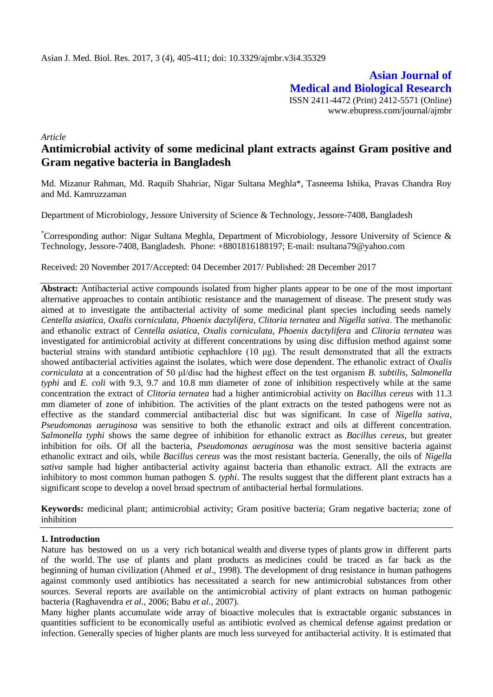**Asian Journal of Medical and Biological Research** ISSN 2411-4472 (Print) 2412-5571 (Online) www.ebupress.com/journal/ajmbr

*Article*

# **Antimicrobial activity of some medicinal plant extracts against Gram positive and Gram negative bacteria in Bangladesh**

Md. Mizanur Rahman, Md. Raquib Shahriar, Nigar Sultana Meghla\*, Tasneema Ishika, Pravas Chandra Roy and Md. Kamruzzaman

Department of Microbiology, Jessore University of Science & Technology, Jessore-7408, Bangladesh

\*Corresponding author: Nigar Sultana Meghla, Department of Microbiology, Jessore University of Science & Technology, Jessore-7408, Bangladesh. Phone: +8801816188197; E-mail: [nsultana79@yahoo.com](mailto:nsultana79@yahoo.com)

Received: 20 November 2017/Accepted: 04 December 2017/ Published: 28 December 2017

**Abstract:** Antibacterial active compounds isolated from higher plants appear to be one of the most important alternative approaches to contain antibiotic resistance and the management of disease. The present study was aimed at to investigate the antibacterial activity of some medicinal plant species including seeds namely *Centella asiatica, Oxalis corniculata, Phoenix dactylifera, Clitoria ternatea* and *Nigella sativa*. The methanolic and ethanolic extract of *Centella asiatica, Oxalis corniculata, Phoenix dactylifera* and *Clitoria ternatea* was investigated for antimicrobial activity at different concentrations by using disc diffusion method against some bacterial strains with standard antibiotic cephachlore (10 μg). The result demonstrated that all the extracts showed antibacterial activities against the isolates, which were dose dependent. The ethanolic extract of *Oxalis corniculata* at a concentration of 50 μl/disc had the highest effect on the test organism *B. subtilis, Salmonella typhi* and *E. coli* with 9.3, 9.7 and 10.8 mm diameter of zone of inhibition respectively while at the same concentration the extract of *Clitoria ternatea* had a higher antimicrobial activity on *Bacillus cereus* with 11.3 mm diameter of zone of inhibition. The activities of the plant extracts on the tested pathogens were not as effective as the standard commercial antibacterial disc but was significant. In case of *Nigella sativa*, *Pseudomonas aeruginosa* was sensitive to both the ethanolic extract and oils at different concentration. *Salmonella typhi* shows the same degree of inhibition for ethanolic extract as *Bacillus cereus*, but greater inhibition for oils. Of all the bacteria, *Pseudomonas aeruginosa* was the most sensitive bacteria against ethanolic extract and oils, while *Bacillus cereus* was the most resistant bacteria. Generally, the oils of *Nigella sativa* sample had higher antibacterial activity against bacteria than ethanolic extract. All the extracts are inhibitory to most common human pathogen *S. typhi*. The results suggest that the different plant extracts has a significant scope to develop a novel broad spectrum of antibacterial herbal formulations.

**Keywords:** medicinal plant; antimicrobial activity; Gram positive bacteria; Gram negative bacteria; zone of inhibition

### **1. Introduction**

Nature has bestowed on us a very rich botanical wealth and diverse types of plants grow in different parts of the world. The use of plants and plant products as medicines could be traced as far back as the beginning of human civilization (Ahmed *et al*., 1998). The development of drug resistance in human pathogens against commonly used antibiotics has necessitated a search for new antimicrobial substances from other sources. Several reports are available on the antimicrobial activity of plant extracts on human pathogenic bacteria (Raghavendra *et al.,* 2006; Babu *et al.,* 2007).

Many higher plants accumulate wide array of bioactive molecules that is extractable organic substances in quantities sufficient to be economically useful as antibiotic evolved as chemical defense against predation or infection. Generally species of higher plants are much less surveyed for antibacterial activity. It is estimated that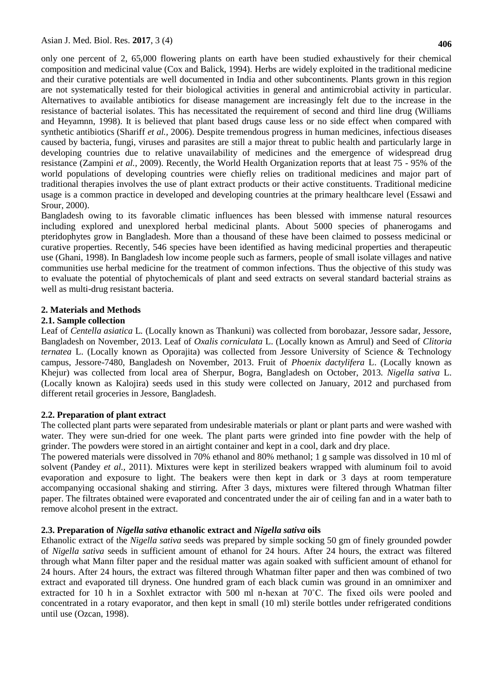only one percent of 2, 65,000 flowering plants on earth have been studied exhaustively for their chemical composition and medicinal value (Cox and Balick, 1994). Herbs are widely exploited in the traditional medicine and their curative potentials are well documented in India and other subcontinents. Plants grown in this region are not systematically tested for their biological activities in general and antimicrobial activity in particular. Alternatives to available antibiotics for disease management are increasingly felt due to the increase in the resistance of bacterial isolates. This has necessitated the requirement of second and third line drug (Williams and Heyamnn, 1998). It is believed that plant based drugs cause less or no side effect when compared with synthetic antibiotics (Shariff *et al.,* 2006). Despite tremendous progress in human medicines, infectious diseases caused by bacteria, fungi, viruses and parasites are still a major threat to public health and particularly large in developing countries due to relative unavailability of medicines and the emergence of widespread drug resistance (Zampini *et al.,* 2009). Recently, the World Health Organization reports that at least 75 - 95% of the world populations of developing countries were chiefly relies on traditional medicines and major part of traditional therapies involves the use of plant extract products or their active constituents. Traditional medicine usage is a common practice in developed and developing countries at the primary healthcare level (Essawi and Srour, 2000).

Bangladesh owing to its favorable climatic influences has been blessed with immense natural resources including explored and unexplored herbal medicinal plants. About 5000 species of phanerogams and pteridophytes grow in Bangladesh. More than a thousand of these have been claimed to possess medicinal or curative properties. Recently, 546 species have been identified as having medicinal properties and therapeutic use (Ghani, 1998). In Bangladesh low income people such as farmers, people of small isolate villages and native communities use herbal medicine for the treatment of common infections. Thus the objective of this study was to evaluate the potential of phytochemicals of plant and seed extracts on several standard bacterial strains as well as multi-drug resistant bacteria.

#### **2. Materials and Methods**

#### **2.1. Sample collection**

Leaf of *Centella asiatica* L*.* (Locally known as Thankuni) was collected from borobazar, Jessore sadar, Jessore, Bangladesh on November, 2013. Leaf of *Oxalis corniculata* L. (Locally known as Amrul) and Seed of *Clitoria ternatea* L. (Locally known as Oporajita) was collected from Jessore University of Science & Technology campus, Jessore-7480, Bangladesh on November, 2013. Fruit of *Phoenix dactylifera* L. (Locally known as Khejur) was collected from local area of Sherpur, Bogra, Bangladesh on October, 2013. *Nigella sativa* L. (Locally known as Kalojira) seeds used in this study were collected on January, 2012 and purchased from different retail groceries in Jessore, Bangladesh.

### **2.2. Preparation of plant extract**

The collected plant parts were separated from undesirable materials or plant or plant parts and were washed with water. They were sun-dried for one week. The plant parts were grinded into fine powder with the help of grinder. The powders were stored in an airtight container and kept in a cool, dark and dry place.

The powered materials were dissolved in 70% ethanol and 80% methanol; 1 g sample was dissolved in 10 ml of solvent (Pandey *et al.,* 2011). Mixtures were kept in sterilized beakers wrapped with aluminum foil to avoid evaporation and exposure to light. The beakers were then kept in dark or 3 days at room temperature accompanying occasional shaking and stirring. After 3 days, mixtures were filtered through Whatman filter paper. The filtrates obtained were evaporated and concentrated under the air of ceiling fan and in a water bath to remove alcohol present in the extract.

### **2.3. Preparation of** *Nigella sativa* **ethanolic extract and** *Nigella sativa* **oils**

Ethanolic extract of the *Nigella sativa* seeds was prepared by simple socking 50 gm of finely grounded powder of *Nigella sativa* seeds in sufficient amount of ethanol for 24 hours. After 24 hours, the extract was filtered through what Mann filter paper and the residual matter was again soaked with sufficient amount of ethanol for 24 hours. After 24 hours, the extract was filtered through Whatman filter paper and then was combined of two extract and evaporated till dryness. One hundred gram of each black cumin was ground in an omnimixer and extracted for 10 h in a Soxhlet extractor with 500 ml n-hexan at 70˚C. The fixed oils were pooled and concentrated in a rotary evaporator, and then kept in small (10 ml) sterile bottles under refrigerated conditions until use (Ozcan, 1998).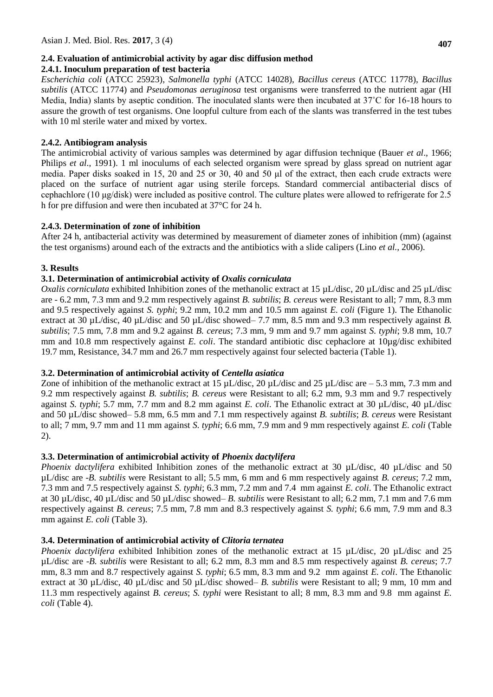# **2.4. Evaluation of antimicrobial activity by agar disc diffusion method**

# **2.4.1. Inoculum preparation of test bacteria**

*Escherichia coli* (ATCC 25923), *Salmonella typhi* (ATCC 14028), *Bacillus cereus* (ATCC 11778), *Bacillus subtilis* (ATCC 11774) and *Pseudomonas aeruginosa* test organisms were transferred to the nutrient agar (HI Media, India) slants by aseptic condition. The inoculated slants were then incubated at 37˚C for 16-18 hours to assure the growth of test organisms. One loopful culture from each of the slants was transferred in the test tubes with 10 ml sterile water and mixed by vortex.

# **2.4.2. Antibiogram analysis**

The antimicrobial activity of various samples was determined by agar diffusion technique (Bauer *et al*., 1966; Philips *et al*., 1991). 1 ml inoculums of each selected organism were spread by glass spread on nutrient agar media. Paper disks soaked in 15, 20 and 25 or 30, 40 and 50 μl of the extract, then each crude extracts were placed on the surface of nutrient agar using sterile forceps. Standard commercial antibacterial discs of cephachlore (10 μg/disk) were included as positive control. The culture plates were allowed to refrigerate for 2.5 h for pre diffusion and were then incubated at 37°C for 24 h.

# **2.4.3. Determination of zone of inhibition**

After 24 h, antibacterial activity was determined by measurement of diameter zones of inhibition (mm) (against the test organisms) around each of the extracts and the antibiotics with a slide calipers (Lino *et al.,* 2006).

# **3. Results**

# **3.1. Determination of antimicrobial activity of** *Oxalis corniculata*

*Oxalis corniculata* exhibited Inhibition zones of the methanolic extract at 15 µL/disc, 20 µL/disc and 25 µL/disc are - 6.2 mm, 7.3 mm and 9.2 mm respectively against *B. subtilis*; *B. cereus* were Resistant to all; 7 mm, 8.3 mm and 9.5 respectively against *S. typhi*; 9.2 mm, 10.2 mm and 10.5 mm against *E. coli* (Figure 1). The Ethanolic extract at 30 µL/disc, 40 µL/disc and 50 µL/disc showed– 7.7 mm, 8.5 mm and 9.3 mm respectively against *B*. *subtilis*; 7.5 mm, 7.8 mm and 9.2 against *B. cereus*; 7.3 mm, 9 mm and 9.7 mm against *S. typhi*; 9.8 mm, 10.7 mm and 10.8 mm respectively against *E. coli*. The standard antibiotic disc cephaclore at 10µg/disc exhibited 19.7 mm, Resistance, 34.7 mm and 26.7 mm respectively against four selected bacteria (Table 1).

# **3.2. Determination of antimicrobial activity of** *Centella asiatica*

Zone of inhibition of the methanolic extract at 15  $\mu$ L/disc, 20  $\mu$ L/disc and 25  $\mu$ L/disc are – 5.3 mm, 7.3 mm and 9.2 mm respectively against *B. subtilis*; *B. cereus* were Resistant to all; 6.2 mm, 9.3 mm and 9.7 respectively against *S. typhi*; 5.7 mm, 7.7 mm and 8.2 mm against *E. coli*. The Ethanolic extract at 30 µL/disc, 40 µL/disc and 50 µL/disc showed– 5.8 mm, 6.5 mm and 7.1 mm respectively against *B. subtilis*; *B. cereus* were Resistant to all; 7 mm, 9.7 mm and 11 mm against *S. typhi*; 6.6 mm, 7.9 mm and 9 mm respectively against *E. coli* (Table 2).

# **3.3. Determination of antimicrobial activity of** *Phoenix dactylifera*

*Phoenix dactylifera* exhibited Inhibition zones of the methanolic extract at 30 µL/disc, 40 µL/disc and 50 µL/disc are -*B. subtilis* were Resistant to all; 5.5 mm, 6 mm and 6 mm respectively against *B. cereus*; 7.2 mm, 7.3 mm and 7.5 respectively against *S. typhi*; 6.3 mm, 7.2 mm and 7.4 mm against *E. coli*. The Ethanolic extract at 30 µL/disc, 40 µL/disc and 50 µL/disc showed– *B. subtilis* were Resistant to all; 6.2 mm, 7.1 mm and 7.6 mm respectively against *B. cereus*; 7.5 mm, 7.8 mm and 8.3 respectively against *S. typhi*; 6.6 mm, 7.9 mm and 8.3 mm against *E. coli* (Table 3).

### **3.4. Determination of antimicrobial activity of** *Clitoria ternatea*

*Phoenix dactylifera* exhibited Inhibition zones of the methanolic extract at 15 µL/disc, 20 µL/disc and 25 µL/disc are -*B. subtilis* were Resistant to all; 6.2 mm, 8.3 mm and 8.5 mm respectively against *B. cereus*; 7.7 mm, 8.3 mm and 8.7 respectively against *S. typhi*; 6.5 mm, 8.3 mm and 9.2 mm against *E. coli*. The Ethanolic extract at 30 µL/disc, 40 µL/disc and 50 µL/disc showed– *B. subtilis* were Resistant to all; 9 mm, 10 mm and 11.3 mm respectively against *B. cereus*; *S. typhi* were Resistant to all; 8 mm, 8.3 mm and 9.8 mm against *E. coli* (Table 4).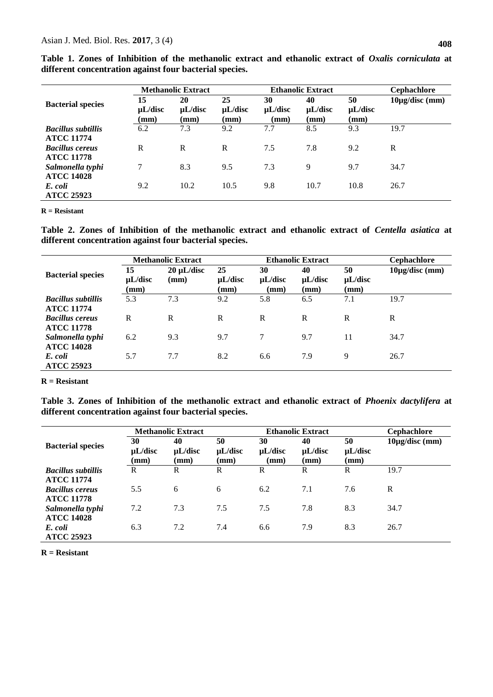|                                                |                            |                                       |                            |                            | <b>Ethanolic Extract</b>   |                            |                           |
|------------------------------------------------|----------------------------|---------------------------------------|----------------------------|----------------------------|----------------------------|----------------------------|---------------------------|
| <b>Bacterial species</b>                       |                            | <b>Methanolic Extract</b>             |                            |                            | <b>Cephachlore</b>         |                            |                           |
|                                                | 15<br>$\mu$ L/disc<br>(mm) | 20<br>$\mu$ L/disc<br>$(\mathbf{mm})$ | 25<br>$\mu$ L/disc<br>(mm) | 30<br>$\mu$ L/disc<br>(mm) | 40<br>$\mu$ L/disc<br>(mm) | 50<br>$\mu$ L/disc<br>(mm) | $10\mu\text{g/disc (mm)}$ |
| <b>Bacillus subtillis</b><br><b>ATCC 11774</b> | 6.2                        | 7.3                                   | 9.2                        | 7.7                        | 8.5                        | 9.3                        | 19.7                      |
| <b>Bacillus cereus</b><br><b>ATCC 11778</b>    | R                          | R                                     | R                          | 7.5                        | 7.8                        | 9.2                        | R                         |
| Salmonella typhi<br><b>ATCC 14028</b>          | 7                          | 8.3                                   | 9.5                        | 7.3                        | 9                          | 9.7                        | 34.7                      |
| E. coli<br><b>ATCC 25923</b>                   | 9.2                        | 10.2                                  | 10.5                       | 9.8                        | 10.7                       | 10.8                       | 26.7                      |

**Table 1. Zones of Inhibition of the methanolic extract and ethanolic extract of** *Oxalis corniculata* **at different concentration against four bacterial species.**

**R = Resistant**

**Table 2. Zones of Inhibition of the methanolic extract and ethanolic extract of** *Centella asiatica* **at different concentration against four bacterial species.**

|                                                |                            | <b>Methanolic Extract</b> |                            | <b>Ethanolic Extract</b>   | <b>Cephachlore</b>         |                            |                           |
|------------------------------------------------|----------------------------|---------------------------|----------------------------|----------------------------|----------------------------|----------------------------|---------------------------|
| <b>Bacterial species</b>                       | 15<br>$\mu$ L/disc<br>(mm) | $20 \mu L/disc$<br>(mm)   | 25<br>$\mu$ L/disc<br>(mm) | 30<br>$\mu$ L/disc<br>(mm) | 40<br>$\mu$ L/disc<br>(mm) | 50<br>$\mu$ L/disc<br>(mm) | $10\mu\text{g/disc (mm)}$ |
| <b>Bacillus subtillis</b><br><b>ATCC 11774</b> | 5.3                        | 7.3                       | 9.2                        | 5.8                        | 6.5                        | 7.1                        | 19.7                      |
| <b>Bacillus cereus</b><br><b>ATCC 11778</b>    | R                          | $\mathbb{R}$              | R                          | R                          | R                          | R                          | R                         |
| Salmonella typhi<br><b>ATCC 14028</b>          | 6.2                        | 9.3                       | 9.7                        | 7                          | 9.7                        | 11                         | 34.7                      |
| E. coli<br><b>ATCC 25923</b>                   | 5.7                        | 7.7                       | 8.2                        | 6.6                        | 7.9                        | 9                          | 26.7                      |

**R = Resistant**

**Table 3. Zones of Inhibition of the methanolic extract and ethanolic extract of** *Phoenix dactylifera* **at different concentration against four bacterial species.**

|                                                |                                       | <b>Methanolic Extract</b>             |                            | <b>Ethanolic Extract</b>   | <b>Cephachlore</b>         |                            |                           |
|------------------------------------------------|---------------------------------------|---------------------------------------|----------------------------|----------------------------|----------------------------|----------------------------|---------------------------|
| <b>Bacterial species</b>                       | 30<br>$\mu$ L/disc<br>$(\mathbf{mm})$ | 40<br>$\mu$ L/disc<br>$(\mathbf{mm})$ | 50<br>$\mu$ L/disc<br>(mm) | 30<br>$\mu$ L/disc<br>(mm) | 40<br>$\mu$ L/disc<br>(mm) | 50<br>$\mu$ L/disc<br>(mm) | $10\mu\text{g/disc (mm)}$ |
| <b>Bacillus subtillis</b><br><b>ATCC 11774</b> | R                                     | R                                     | R                          | R                          | R                          | R                          | 19.7                      |
| <b>Bacillus cereus</b><br><b>ATCC 11778</b>    | 5.5                                   | 6                                     | 6                          | 6.2                        | 7.1                        | 7.6                        | R                         |
| Salmonella typhi<br><b>ATCC 14028</b>          | 7.2                                   | 7.3                                   | 7.5                        | 7.5                        | 7.8                        | 8.3                        | 34.7                      |
| E. coli<br><b>ATCC 25923</b>                   | 6.3                                   | 7.2                                   | 7.4                        | 6.6                        | 7.9                        | 8.3                        | 26.7                      |

**R = Resistant**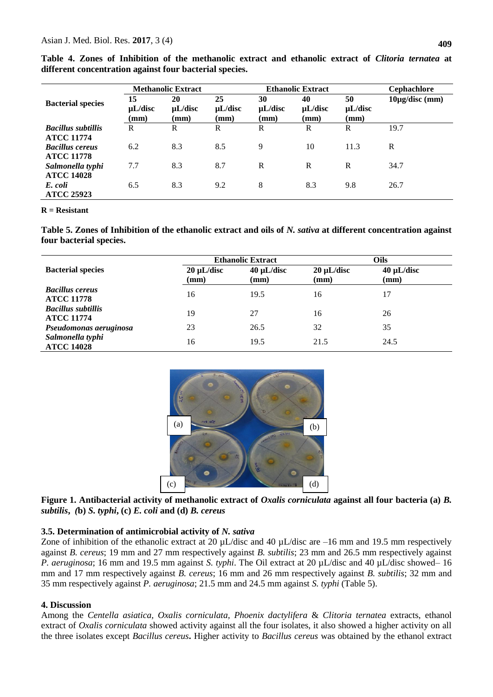|                                                |                            | <b>Methanolic Extract</b>             |                                       |                            | <b>Ethanolic Extract</b>              | <b>Cephachlore</b>                    |                           |
|------------------------------------------------|----------------------------|---------------------------------------|---------------------------------------|----------------------------|---------------------------------------|---------------------------------------|---------------------------|
| <b>Bacterial species</b>                       | 15<br>$\mu$ L/disc<br>(mm) | 20<br>$\mu$ L/disc<br>$(\mathbf{mm})$ | 25<br>$\mu$ L/disc<br>$(\mathbf{mm})$ | 30<br>$\mu$ L/disc<br>(mm) | 40<br>$\mu$ L/disc<br>$(\mathbf{mm})$ | 50<br>$\mu$ L/disc<br>$(\mathbf{mm})$ | $10\mu\text{g/disc (mm)}$ |
| <b>Bacillus subtillis</b><br><b>ATCC 11774</b> | R                          | R                                     | R                                     | R                          | R                                     | R                                     | 19.7                      |
| <b>Bacillus cereus</b><br><b>ATCC 11778</b>    | 6.2                        | 8.3                                   | 8.5                                   | 9                          | 10                                    | 11.3                                  | $\mathbb{R}$              |
| Salmonella typhi<br><b>ATCC 14028</b>          | 7.7                        | 8.3                                   | 8.7                                   | R                          | $\mathbb{R}$                          | R                                     | 34.7                      |
| E. coli<br><b>ATCC 25923</b>                   | 6.5                        | 8.3                                   | 9.2                                   | 8                          | 8.3                                   | 9.8                                   | 26.7                      |

**Table 4. Zones of Inhibition of the methanolic extract and ethanolic extract of** *Clitoria ternatea* **at different concentration against four bacterial species.**

#### **R = Resistant**

**Table 5. Zones of Inhibition of the ethanolic extract and oils of** *N. sativa* **at different concentration against four bacterial species.**

|                                                |                 | <b>Ethanolic Extract</b> |                 | Oils            |  |  |
|------------------------------------------------|-----------------|--------------------------|-----------------|-----------------|--|--|
| <b>Bacterial species</b>                       | $20 \mu L/disc$ | $40 \mu L/disc$          | $20 \mu L/disc$ | $40 \mu L/disc$ |  |  |
|                                                | (mm)            | (mm)                     | (mm)            | $(\mathbf{mm})$ |  |  |
| <b>Bacillus cereus</b><br><b>ATCC 11778</b>    | 16              | 19.5                     | 16              | 17              |  |  |
| <b>Bacillus subtillis</b><br><b>ATCC 11774</b> | 19              | 27                       | 16              | 26              |  |  |
| Pseudomonas aeruginosa                         | 23              | 26.5                     | 32              | 35              |  |  |
| Salmonella typhi<br><b>ATCC 14028</b>          | 16              | 19.5                     | 21.5            | 24.5            |  |  |



**Figure 1. Antibacterial activity of methanolic extract of** *Oxalis corniculata* **against all four bacteria (a)** *B. subtilis***,** *(***b)** *S. typhi***, (c)** *E. coli* **and (d)** *B. cereus*

#### **3.5. Determination of antimicrobial activity of** *N. sativa*

Zone of inhibition of the ethanolic extract at 20  $\mu$ L/disc and 40  $\mu$ L/disc are –16 mm and 19.5 mm respectively against *B. cereus*; 19 mm and 27 mm respectively against *B. subtilis*; 23 mm and 26.5 mm respectively against *P. aeruginosa*; 16 mm and 19.5 mm against *S. typhi*. The Oil extract at 20 µL/disc and 40 µL/disc showed– 16 mm and 17 mm respectively against *B. cereus*; 16 mm and 26 mm respectively against *B. subtilis*; 32 mm and 35 mm respectively against *P. aeruginosa*; 21.5 mm and 24.5 mm against *S. typhi* (Table 5).

#### **4. Discussion**

Among the *Centella asiatica, Oxalis corniculata, Phoenix dactylifera* & *Clitoria ternatea* extracts, ethanol extract of *Oxalis corniculata* showed activity against all the four isolates, it also showed a higher activity on all the three isolates except *Bacillus cereus***.** Higher activity to *Bacillus cereus* was obtained by the ethanol extract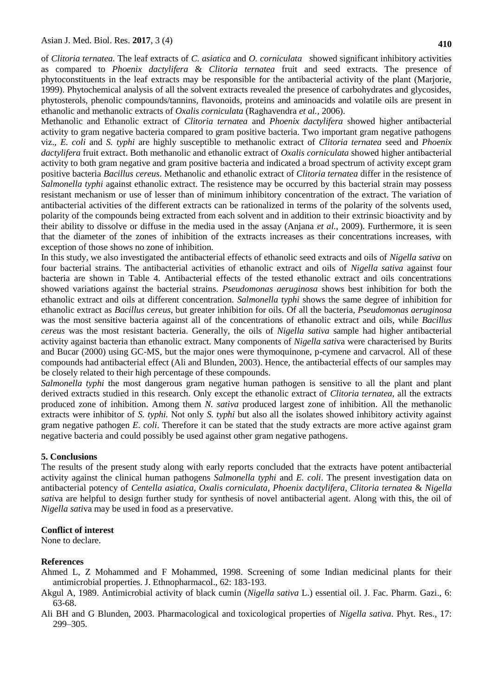of *Clitoria ternatea.* The leaf extracts of *C. asiatica* and *O. corniculata* showed significant inhibitory activities as compared to *Phoenix dactylifera* & *Clitoria ternatea* fruit and seed extracts. The presence of phytoconstituents in the leaf extracts may be responsible for the antibacterial activity of the plant (Marjorie, 1999). Phytochemical analysis of all the solvent extracts revealed the presence of carbohydrates and glycosides, phytosterols, phenolic compounds/tannins, flavonoids, proteins and aminoacids and volatile oils are present in ethanolic and methanolic extracts of *Oxalis corniculata* (Raghavendra *et al.,* 2006).

Methanolic and Ethanolic extract of *Clitoria ternatea* and *Phoenix dactylifera* showed higher antibacterial activity to gram negative bacteria compared to gram positive bacteria. Two important gram negative pathogens viz., *E. coli* and *S. typhi* are highly susceptible to methanolic extract of *Clitoria ternatea* seed and *Phoenix dactylifera* fruit extract. Both methanolic and ethanolic extract of *Oxalis corniculata* showed higher antibacterial activity to both gram negative and gram positive bacteria and indicated a broad spectrum of activity except gram positive bacteria *Bacillus cereus*. Methanolic and ethanolic extract of *Clitoria ternatea* differ in the resistence of *Salmonella typhi* against ethanolic extract. The resistence may be occurred by this bacterial strain may possess resistant mechanism or use of lesser than of minimum inhibitory concentration of the extract. The variation of antibacterial activities of the different extracts can be rationalized in terms of the polarity of the solvents used, polarity of the compounds being extracted from each solvent and in addition to their extrinsic bioactivity and by their ability to dissolve or diffuse in the media used in the assay (Anjana *et al.,* 2009). Furthermore, it is seen that the diameter of the zones of inhibition of the extracts increases as their concentrations increases, with exception of those shows no zone of inhibition.

In this study, we also investigated the antibacterial effects of ethanolic seed extracts and oils of *Nigella sativa* on four bacterial strains. The antibacterial activities of ethanolic extract and oils of *Nigella sativa* against four bacteria are shown in Table 4. Antibacterial effects of the tested ethanolic extract and oils concentrations showed variations against the bacterial strains. *Pseudomonas aeruginosa* shows best inhibition for both the ethanolic extract and oils at different concentration. *Salmonella typhi* shows the same degree of inhibition for ethanolic extract as *Bacillus cereus*, but greater inhibition for oils. Of all the bacteria, *Pseudomonas aeruginosa*  was the most sensitive bacteria against all of the concentrations of ethanolic extract and oils, while *Bacillus cereus* was the most resistant bacteria. Generally, the oils of *Nigella sativa* sample had higher antibacterial activity against bacteria than ethanolic extract. Many components of *Nigella sati*va were characterised by Burits and Bucar (2000) using GC-MS, but the major ones were thymoquinone, p-cymene and carvacrol. All of these compounds had antibacterial effect (Ali and Blunden, 2003). Hence, the antibacterial effects of our samples may be closely related to their high percentage of these compounds.

*Salmonella typhi* the most dangerous gram negative human pathogen is sensitive to all the plant and plant derived extracts studied in this research. Only except the ethanolic extract of *Clitoria ternatea*, all the extracts produced zone of inhibition. Among them *N. sativa* produced largest zone of inhibition. All the methanolic extracts were inhibitor of *S. typhi.* Not only *S. typhi* but also all the isolates showed inhibitory activity against gram negative pathogen *E. coli*. Therefore it can be stated that the study extracts are more active against gram negative bacteria and could possibly be used against other gram negative pathogens.

### **5. Conclusions**

The results of the present study along with early reports concluded that the extracts have potent antibacterial activity against the clinical human pathogens *Salmonella typhi* and *E. coli*. The present investigation data on antibacterial potency of *Centella asiatica, Oxalis corniculata, Phoenix dactylifera, Clitoria ternatea* & *Nigella sati*va are helpful to design further study for synthesis of novel antibacterial agent. Along with this, the oil of *Nigella sati*va may be used in food as a preservative.

# **Conflict of interest**

None to declare.

### **References**

- Ahmed L, Z Mohammed and F Mohammed, 1998. Screening of some Indian medicinal plants for their antimicrobial properties. J. Ethnopharmacol., 62: 183-193.
- Akgul A, 1989. Antimicrobial activity of black cumin (*Nigella sativa* L.) essential oil. J. Fac. Pharm. Gazi., 6: 63-68.
- Ali BH and G Blunden, 2003. Pharmacological and toxicological properties of *Nigella sativa*. Phyt. Res., 17: 299–305.